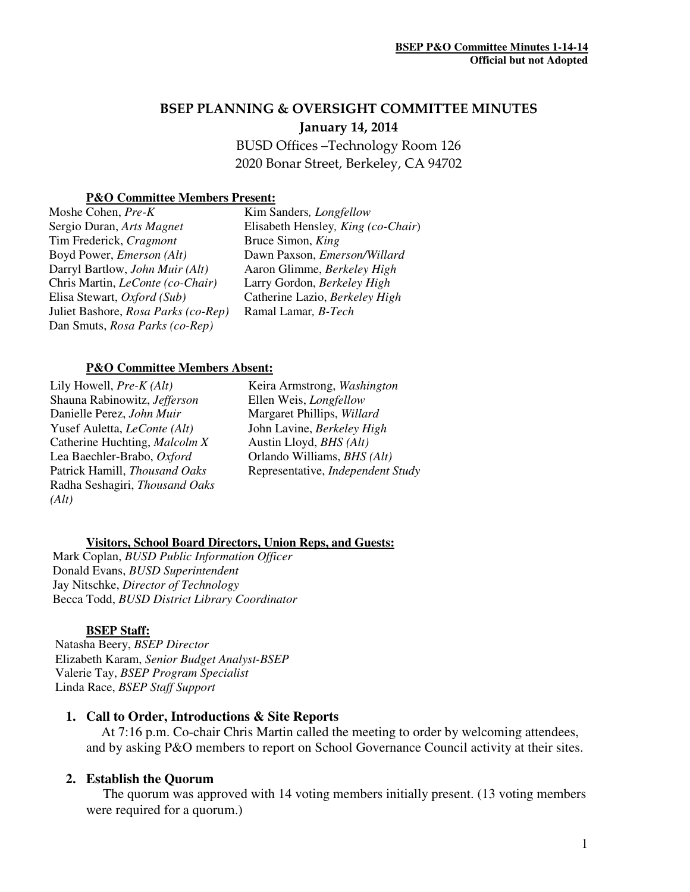# BSEP PLANNING & OVERSIGHT COMMITTEE MINUTES January 14, 2014

BUSD Offices –Technology Room 126 2020 Bonar Street, Berkeley, CA 94702

### **P&O Committee Members Present:**

Moshe Cohen, *Pre-K*  Sergio Duran, *Arts Magnet*  Tim Frederick, *Cragmont*  Boyd Power, *Emerson (Alt)* Darryl Bartlow, *John Muir (Alt)*  Chris Martin, *LeConte (co-Chair)* Elisa Stewart, *Oxford (Sub)*  Juliet Bashore, *Rosa Parks (co-Rep)* Dan Smuts, *Rosa Parks (co-Rep)*

Kim Sanders*, Longfellow* Elisabeth Hensley*, King (co-Chair*) Bruce Simon, *King*  Dawn Paxson, *Emerson/Willard*  Aaron Glimme, *Berkeley High* Larry Gordon, *Berkeley High*  Catherine Lazio, *Berkeley High* Ramal Lamar*, B-Tech* 

#### **P&O Committee Members Absent:**

Lily Howell, *Pre-K (Alt)* Shauna Rabinowitz, *Jefferson*  Danielle Perez, *John Muir*  Yusef Auletta, *LeConte (Alt)*  Catherine Huchting, *Malcolm X*  Lea Baechler-Brabo, *Oxford*  Patrick Hamill, *Thousand Oaks*  Radha Seshagiri, *Thousand Oaks (Alt)* 

Keira Armstrong, *Washington*  Ellen Weis, *Longfellow*  Margaret Phillips, *Willard*  John Lavine, *Berkeley High* Austin Lloyd, *BHS (Alt)* Orlando Williams, *BHS (Alt)*  Representative, *Independent Study*

### **Visitors, School Board Directors, Union Reps, and Guests:**

Mark Coplan, *BUSD Public Information Officer* Donald Evans, *BUSD Superintendent* Jay Nitschke, *Director of Technology*  Becca Todd, *BUSD District Library Coordinator*

### **BSEP Staff:**

 Natasha Beery, *BSEP Director* Elizabeth Karam, *Senior Budget Analyst-BSEP* Valerie Tay, *BSEP Program Specialist*  Linda Race, *BSEP Staff Support* 

### **1. Call to Order, Introductions & Site Reports**

At 7:16 p.m. Co-chair Chris Martin called the meeting to order by welcoming attendees, and by asking P&O members to report on School Governance Council activity at their sites.

### **2. Establish the Quorum**

 The quorum was approved with 14 voting members initially present. (13 voting members were required for a quorum.)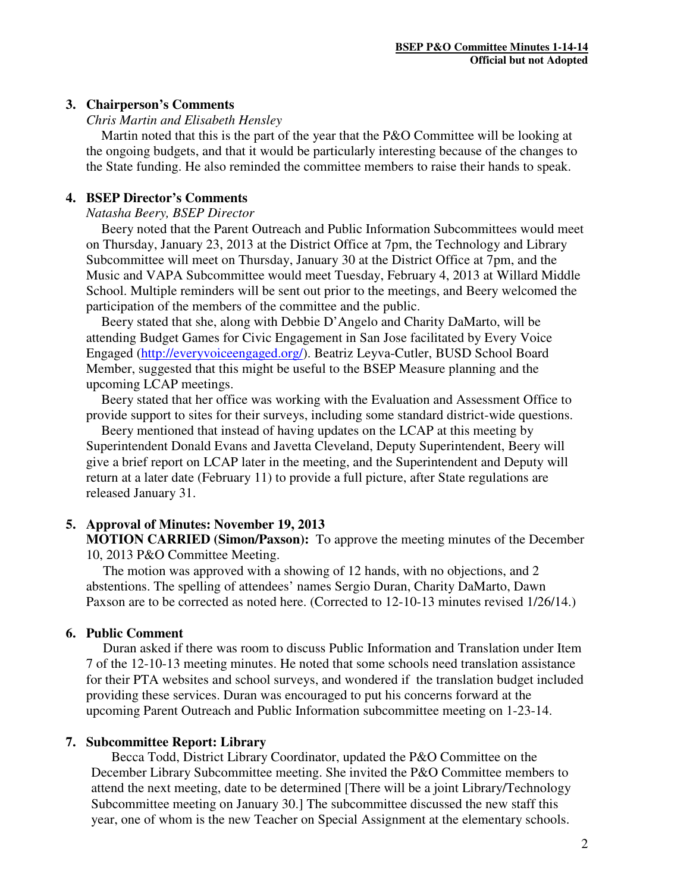# **3. Chairperson's Comments**

### *Chris Martin and Elisabeth Hensley*

 Martin noted that this is the part of the year that the P&O Committee will be looking at the ongoing budgets, and that it would be particularly interesting because of the changes to the State funding. He also reminded the committee members to raise their hands to speak.

# **4. BSEP Director's Comments**

# *Natasha Beery, BSEP Director*

Beery noted that the Parent Outreach and Public Information Subcommittees would meet on Thursday, January 23, 2013 at the District Office at 7pm, the Technology and Library Subcommittee will meet on Thursday, January 30 at the District Office at 7pm, and the Music and VAPA Subcommittee would meet Tuesday, February 4, 2013 at Willard Middle School. Multiple reminders will be sent out prior to the meetings, and Beery welcomed the participation of the members of the committee and the public.

Beery stated that she, along with Debbie D'Angelo and Charity DaMarto, will be attending Budget Games for Civic Engagement in San Jose facilitated by Every Voice Engaged (http://everyvoiceengaged.org/). Beatriz Leyva-Cutler, BUSD School Board Member, suggested that this might be useful to the BSEP Measure planning and the upcoming LCAP meetings.

Beery stated that her office was working with the Evaluation and Assessment Office to provide support to sites for their surveys, including some standard district-wide questions.

Beery mentioned that instead of having updates on the LCAP at this meeting by Superintendent Donald Evans and Javetta Cleveland, Deputy Superintendent, Beery will give a brief report on LCAP later in the meeting, and the Superintendent and Deputy will return at a later date (February 11) to provide a full picture, after State regulations are released January 31.

### **5. Approval of Minutes: November 19, 2013**

**MOTION CARRIED (Simon/Paxson):** To approve the meeting minutes of the December 10, 2013 P&O Committee Meeting.

 The motion was approved with a showing of 12 hands, with no objections, and 2 abstentions. The spelling of attendees' names Sergio Duran, Charity DaMarto, Dawn Paxson are to be corrected as noted here. (Corrected to 12-10-13 minutes revised 1/26/14.)

### **6. Public Comment**

 Duran asked if there was room to discuss Public Information and Translation under Item 7 of the 12-10-13 meeting minutes. He noted that some schools need translation assistance for their PTA websites and school surveys, and wondered if the translation budget included providing these services. Duran was encouraged to put his concerns forward at the upcoming Parent Outreach and Public Information subcommittee meeting on 1-23-14.

### **7. Subcommittee Report: Library**

Becca Todd, District Library Coordinator, updated the P&O Committee on the December Library Subcommittee meeting. She invited the P&O Committee members to attend the next meeting, date to be determined [There will be a joint Library/Technology Subcommittee meeting on January 30.] The subcommittee discussed the new staff this year, one of whom is the new Teacher on Special Assignment at the elementary schools.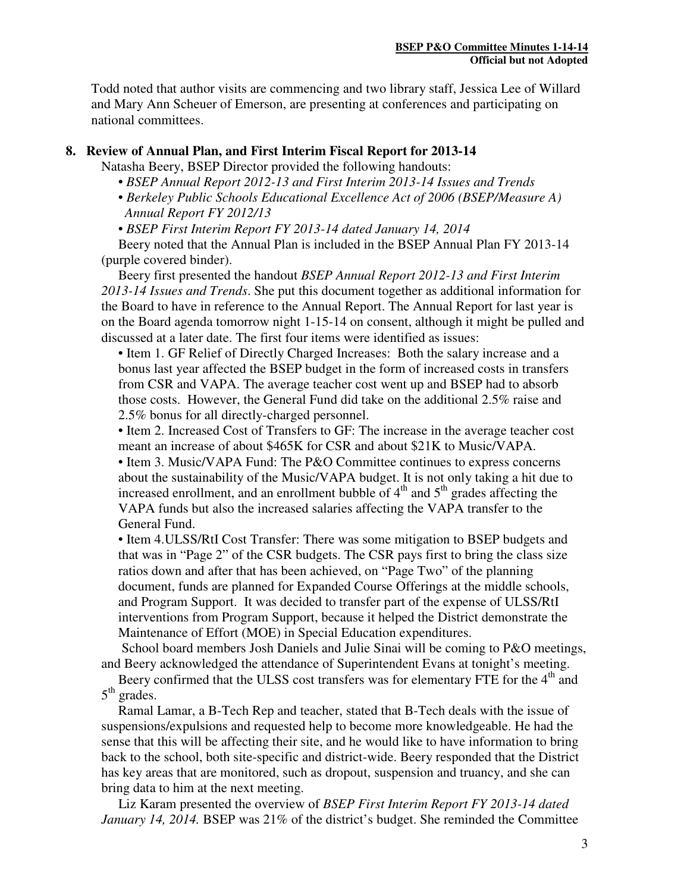Todd noted that author visits are commencing and two library staff, Jessica Lee of Willard and Mary Ann Scheuer of Emerson, are presenting at conferences and participating on national committees.

# **8. Review of Annual Plan, and First Interim Fiscal Report for 2013-14**

Natasha Beery, BSEP Director provided the following handouts:

- *BSEP Annual Report 2012-13 and First Interim 2013-14 Issues and Trends*
- *Berkeley Public Schools Educational Excellence Act of 2006 (BSEP/Measure A) Annual Report FY 2012/13*
- *BSEP First Interim Report FY 2013-14 dated January 14, 2014*

 Beery noted that the Annual Plan is included in the BSEP Annual Plan FY 2013-14 (purple covered binder).

 Beery first presented the handout *BSEP Annual Report 2012-13 and First Interim 2013-14 Issues and Trends*. She put this document together as additional information for the Board to have in reference to the Annual Report. The Annual Report for last year is on the Board agenda tomorrow night 1-15-14 on consent, although it might be pulled and discussed at a later date. The first four items were identified as issues:

• Item 1. GF Relief of Directly Charged Increases: Both the salary increase and a bonus last year affected the BSEP budget in the form of increased costs in transfers from CSR and VAPA. The average teacher cost went up and BSEP had to absorb those costs. However, the General Fund did take on the additional 2.5% raise and 2.5% bonus for all directly-charged personnel.

• Item 2. Increased Cost of Transfers to GF: The increase in the average teacher cost meant an increase of about \$465K for CSR and about \$21K to Music/VAPA.

• Item 3. Music/VAPA Fund: The P&O Committee continues to express concerns about the sustainability of the Music/VAPA budget. It is not only taking a hit due to increased enrollment, and an enrollment bubble of  $4<sup>th</sup>$  and  $5<sup>th</sup>$  grades affecting the VAPA funds but also the increased salaries affecting the VAPA transfer to the General Fund.

• Item 4.ULSS/RtI Cost Transfer: There was some mitigation to BSEP budgets and that was in "Page 2" of the CSR budgets. The CSR pays first to bring the class size ratios down and after that has been achieved, on "Page Two" of the planning document, funds are planned for Expanded Course Offerings at the middle schools, and Program Support. It was decided to transfer part of the expense of ULSS/RtI interventions from Program Support, because it helped the District demonstrate the Maintenance of Effort (MOE) in Special Education expenditures.

School board members Josh Daniels and Julie Sinai will be coming to P&O meetings, and Beery acknowledged the attendance of Superintendent Evans at tonight's meeting.

Beery confirmed that the ULSS cost transfers was for elementary FTE for the 4<sup>th</sup> and 5<sup>th</sup> grades.

 Ramal Lamar, a B-Tech Rep and teacher, stated that B-Tech deals with the issue of suspensions/expulsions and requested help to become more knowledgeable. He had the sense that this will be affecting their site, and he would like to have information to bring back to the school, both site-specific and district-wide. Beery responded that the District has key areas that are monitored, such as dropout, suspension and truancy, and she can bring data to him at the next meeting.

 Liz Karam presented the overview of *BSEP First Interim Report FY 2013-14 dated January 14, 2014.* BSEP was 21% of the district's budget. She reminded the Committee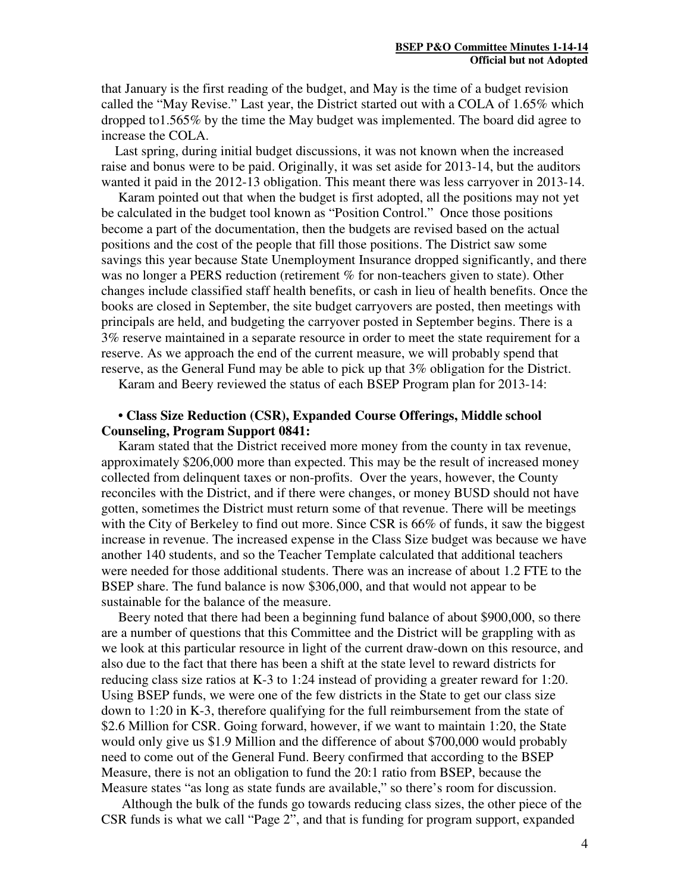that January is the first reading of the budget, and May is the time of a budget revision called the "May Revise." Last year, the District started out with a COLA of 1.65% which dropped to1.565% by the time the May budget was implemented. The board did agree to increase the COLA.

 Last spring, during initial budget discussions, it was not known when the increased raise and bonus were to be paid. Originally, it was set aside for 2013-14, but the auditors wanted it paid in the 2012-13 obligation. This meant there was less carryover in 2013-14.

 Karam pointed out that when the budget is first adopted, all the positions may not yet be calculated in the budget tool known as "Position Control." Once those positions become a part of the documentation, then the budgets are revised based on the actual positions and the cost of the people that fill those positions. The District saw some savings this year because State Unemployment Insurance dropped significantly, and there was no longer a PERS reduction (retirement % for non-teachers given to state). Other changes include classified staff health benefits, or cash in lieu of health benefits. Once the books are closed in September, the site budget carryovers are posted, then meetings with principals are held, and budgeting the carryover posted in September begins. There is a 3% reserve maintained in a separate resource in order to meet the state requirement for a reserve. As we approach the end of the current measure, we will probably spend that reserve, as the General Fund may be able to pick up that 3% obligation for the District.

Karam and Beery reviewed the status of each BSEP Program plan for 2013-14:

# **• Class Size Reduction (CSR), Expanded Course Offerings, Middle school Counseling, Program Support 0841:**

 Karam stated that the District received more money from the county in tax revenue, approximately \$206,000 more than expected. This may be the result of increased money collected from delinquent taxes or non-profits. Over the years, however, the County reconciles with the District, and if there were changes, or money BUSD should not have gotten, sometimes the District must return some of that revenue. There will be meetings with the City of Berkeley to find out more. Since CSR is 66% of funds, it saw the biggest increase in revenue. The increased expense in the Class Size budget was because we have another 140 students, and so the Teacher Template calculated that additional teachers were needed for those additional students. There was an increase of about 1.2 FTE to the BSEP share. The fund balance is now \$306,000, and that would not appear to be sustainable for the balance of the measure.

 Beery noted that there had been a beginning fund balance of about \$900,000, so there are a number of questions that this Committee and the District will be grappling with as we look at this particular resource in light of the current draw-down on this resource, and also due to the fact that there has been a shift at the state level to reward districts for reducing class size ratios at K-3 to 1:24 instead of providing a greater reward for 1:20. Using BSEP funds, we were one of the few districts in the State to get our class size down to 1:20 in K-3, therefore qualifying for the full reimbursement from the state of \$2.6 Million for CSR. Going forward, however, if we want to maintain 1:20, the State would only give us \$1.9 Million and the difference of about \$700,000 would probably need to come out of the General Fund. Beery confirmed that according to the BSEP Measure, there is not an obligation to fund the 20:1 ratio from BSEP, because the Measure states "as long as state funds are available," so there's room for discussion.

Although the bulk of the funds go towards reducing class sizes, the other piece of the CSR funds is what we call "Page 2", and that is funding for program support, expanded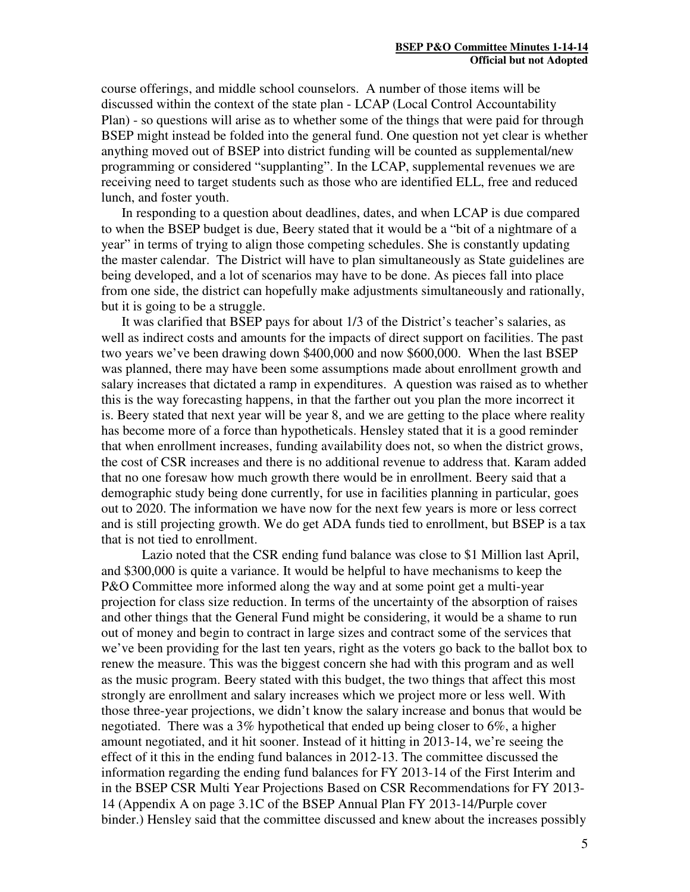course offerings, and middle school counselors. A number of those items will be discussed within the context of the state plan - LCAP (Local Control Accountability Plan) - so questions will arise as to whether some of the things that were paid for through BSEP might instead be folded into the general fund. One question not yet clear is whether anything moved out of BSEP into district funding will be counted as supplemental/new programming or considered "supplanting". In the LCAP, supplemental revenues we are receiving need to target students such as those who are identified ELL, free and reduced lunch, and foster youth.

In responding to a question about deadlines, dates, and when LCAP is due compared to when the BSEP budget is due, Beery stated that it would be a "bit of a nightmare of a year" in terms of trying to align those competing schedules. She is constantly updating the master calendar. The District will have to plan simultaneously as State guidelines are being developed, and a lot of scenarios may have to be done. As pieces fall into place from one side, the district can hopefully make adjustments simultaneously and rationally, but it is going to be a struggle.

It was clarified that BSEP pays for about 1/3 of the District's teacher's salaries, as well as indirect costs and amounts for the impacts of direct support on facilities. The past two years we've been drawing down \$400,000 and now \$600,000. When the last BSEP was planned, there may have been some assumptions made about enrollment growth and salary increases that dictated a ramp in expenditures. A question was raised as to whether this is the way forecasting happens, in that the farther out you plan the more incorrect it is. Beery stated that next year will be year 8, and we are getting to the place where reality has become more of a force than hypotheticals. Hensley stated that it is a good reminder that when enrollment increases, funding availability does not, so when the district grows, the cost of CSR increases and there is no additional revenue to address that. Karam added that no one foresaw how much growth there would be in enrollment. Beery said that a demographic study being done currently, for use in facilities planning in particular, goes out to 2020. The information we have now for the next few years is more or less correct and is still projecting growth. We do get ADA funds tied to enrollment, but BSEP is a tax that is not tied to enrollment.

Lazio noted that the CSR ending fund balance was close to \$1 Million last April, and \$300,000 is quite a variance. It would be helpful to have mechanisms to keep the P&O Committee more informed along the way and at some point get a multi-year projection for class size reduction. In terms of the uncertainty of the absorption of raises and other things that the General Fund might be considering, it would be a shame to run out of money and begin to contract in large sizes and contract some of the services that we've been providing for the last ten years, right as the voters go back to the ballot box to renew the measure. This was the biggest concern she had with this program and as well as the music program. Beery stated with this budget, the two things that affect this most strongly are enrollment and salary increases which we project more or less well. With those three-year projections, we didn't know the salary increase and bonus that would be negotiated. There was a 3% hypothetical that ended up being closer to 6%, a higher amount negotiated, and it hit sooner. Instead of it hitting in 2013-14, we're seeing the effect of it this in the ending fund balances in 2012-13. The committee discussed the information regarding the ending fund balances for FY 2013-14 of the First Interim and in the BSEP CSR Multi Year Projections Based on CSR Recommendations for FY 2013- 14 (Appendix A on page 3.1C of the BSEP Annual Plan FY 2013-14/Purple cover binder.) Hensley said that the committee discussed and knew about the increases possibly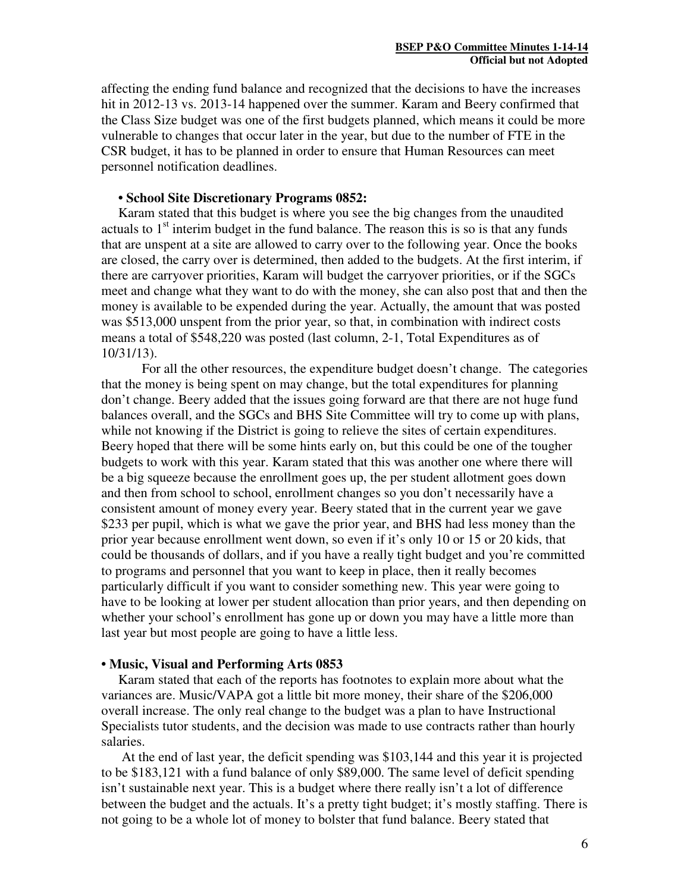affecting the ending fund balance and recognized that the decisions to have the increases hit in 2012-13 vs. 2013-14 happened over the summer. Karam and Beery confirmed that the Class Size budget was one of the first budgets planned, which means it could be more vulnerable to changes that occur later in the year, but due to the number of FTE in the CSR budget, it has to be planned in order to ensure that Human Resources can meet personnel notification deadlines.

# **• School Site Discretionary Programs 0852:**

 Karam stated that this budget is where you see the big changes from the unaudited actuals to  $1<sup>st</sup>$  interim budget in the fund balance. The reason this is so is that any funds that are unspent at a site are allowed to carry over to the following year. Once the books are closed, the carry over is determined, then added to the budgets. At the first interim, if there are carryover priorities, Karam will budget the carryover priorities, or if the SGCs meet and change what they want to do with the money, she can also post that and then the money is available to be expended during the year. Actually, the amount that was posted was \$513,000 unspent from the prior year, so that, in combination with indirect costs means a total of \$548,220 was posted (last column, 2-1, Total Expenditures as of 10/31/13).

For all the other resources, the expenditure budget doesn't change. The categories that the money is being spent on may change, but the total expenditures for planning don't change. Beery added that the issues going forward are that there are not huge fund balances overall, and the SGCs and BHS Site Committee will try to come up with plans, while not knowing if the District is going to relieve the sites of certain expenditures. Beery hoped that there will be some hints early on, but this could be one of the tougher budgets to work with this year. Karam stated that this was another one where there will be a big squeeze because the enrollment goes up, the per student allotment goes down and then from school to school, enrollment changes so you don't necessarily have a consistent amount of money every year. Beery stated that in the current year we gave \$233 per pupil, which is what we gave the prior year, and BHS had less money than the prior year because enrollment went down, so even if it's only 10 or 15 or 20 kids, that could be thousands of dollars, and if you have a really tight budget and you're committed to programs and personnel that you want to keep in place, then it really becomes particularly difficult if you want to consider something new. This year were going to have to be looking at lower per student allocation than prior years, and then depending on whether your school's enrollment has gone up or down you may have a little more than last year but most people are going to have a little less.

#### **• Music, Visual and Performing Arts 0853**

 Karam stated that each of the reports has footnotes to explain more about what the variances are. Music/VAPA got a little bit more money, their share of the \$206,000 overall increase. The only real change to the budget was a plan to have Instructional Specialists tutor students, and the decision was made to use contracts rather than hourly salaries.

At the end of last year, the deficit spending was \$103,144 and this year it is projected to be \$183,121 with a fund balance of only \$89,000. The same level of deficit spending isn't sustainable next year. This is a budget where there really isn't a lot of difference between the budget and the actuals. It's a pretty tight budget; it's mostly staffing. There is not going to be a whole lot of money to bolster that fund balance. Beery stated that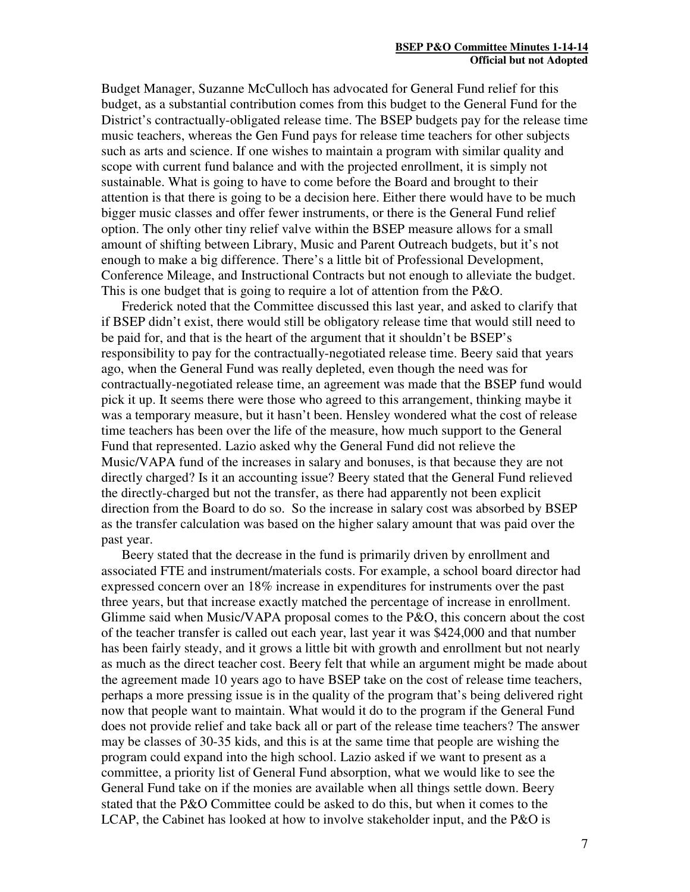Budget Manager, Suzanne McCulloch has advocated for General Fund relief for this budget, as a substantial contribution comes from this budget to the General Fund for the District's contractually-obligated release time. The BSEP budgets pay for the release time music teachers, whereas the Gen Fund pays for release time teachers for other subjects such as arts and science. If one wishes to maintain a program with similar quality and scope with current fund balance and with the projected enrollment, it is simply not sustainable. What is going to have to come before the Board and brought to their attention is that there is going to be a decision here. Either there would have to be much bigger music classes and offer fewer instruments, or there is the General Fund relief option. The only other tiny relief valve within the BSEP measure allows for a small amount of shifting between Library, Music and Parent Outreach budgets, but it's not enough to make a big difference. There's a little bit of Professional Development, Conference Mileage, and Instructional Contracts but not enough to alleviate the budget. This is one budget that is going to require a lot of attention from the P&O.

Frederick noted that the Committee discussed this last year, and asked to clarify that if BSEP didn't exist, there would still be obligatory release time that would still need to be paid for, and that is the heart of the argument that it shouldn't be BSEP's responsibility to pay for the contractually-negotiated release time. Beery said that years ago, when the General Fund was really depleted, even though the need was for contractually-negotiated release time, an agreement was made that the BSEP fund would pick it up. It seems there were those who agreed to this arrangement, thinking maybe it was a temporary measure, but it hasn't been. Hensley wondered what the cost of release time teachers has been over the life of the measure, how much support to the General Fund that represented. Lazio asked why the General Fund did not relieve the Music/VAPA fund of the increases in salary and bonuses, is that because they are not directly charged? Is it an accounting issue? Beery stated that the General Fund relieved the directly-charged but not the transfer, as there had apparently not been explicit direction from the Board to do so. So the increase in salary cost was absorbed by BSEP as the transfer calculation was based on the higher salary amount that was paid over the past year.

Beery stated that the decrease in the fund is primarily driven by enrollment and associated FTE and instrument/materials costs. For example, a school board director had expressed concern over an 18% increase in expenditures for instruments over the past three years, but that increase exactly matched the percentage of increase in enrollment. Glimme said when Music/VAPA proposal comes to the P&O, this concern about the cost of the teacher transfer is called out each year, last year it was \$424,000 and that number has been fairly steady, and it grows a little bit with growth and enrollment but not nearly as much as the direct teacher cost. Beery felt that while an argument might be made about the agreement made 10 years ago to have BSEP take on the cost of release time teachers, perhaps a more pressing issue is in the quality of the program that's being delivered right now that people want to maintain. What would it do to the program if the General Fund does not provide relief and take back all or part of the release time teachers? The answer may be classes of 30-35 kids, and this is at the same time that people are wishing the program could expand into the high school. Lazio asked if we want to present as a committee, a priority list of General Fund absorption, what we would like to see the General Fund take on if the monies are available when all things settle down. Beery stated that the P&O Committee could be asked to do this, but when it comes to the LCAP, the Cabinet has looked at how to involve stakeholder input, and the P&O is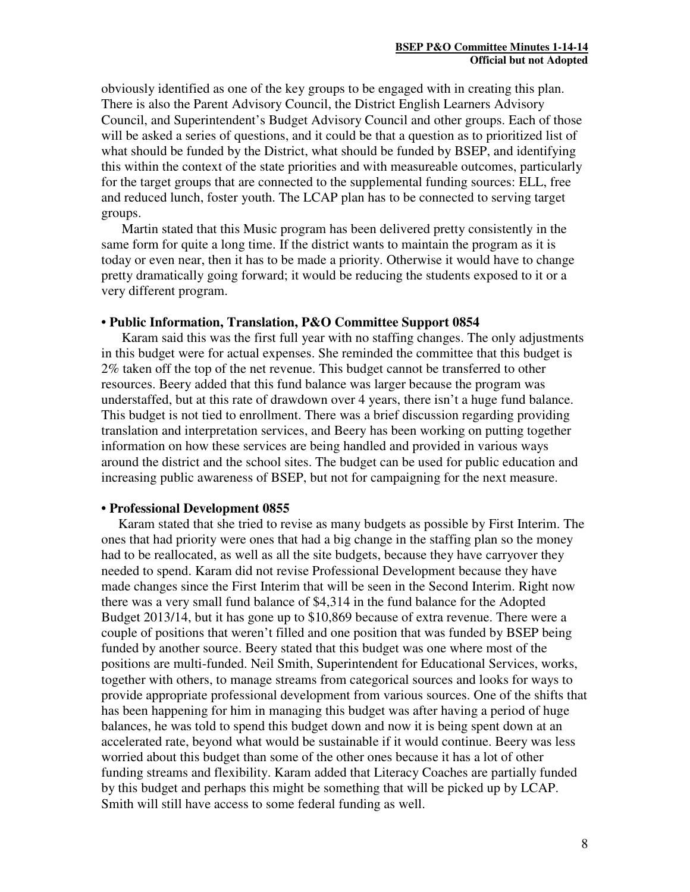obviously identified as one of the key groups to be engaged with in creating this plan. There is also the Parent Advisory Council, the District English Learners Advisory Council, and Superintendent's Budget Advisory Council and other groups. Each of those will be asked a series of questions, and it could be that a question as to prioritized list of what should be funded by the District, what should be funded by BSEP, and identifying this within the context of the state priorities and with measureable outcomes, particularly for the target groups that are connected to the supplemental funding sources: ELL, free and reduced lunch, foster youth. The LCAP plan has to be connected to serving target groups.

Martin stated that this Music program has been delivered pretty consistently in the same form for quite a long time. If the district wants to maintain the program as it is today or even near, then it has to be made a priority. Otherwise it would have to change pretty dramatically going forward; it would be reducing the students exposed to it or a very different program.

### **• Public Information, Translation, P&O Committee Support 0854**

Karam said this was the first full year with no staffing changes. The only adjustments in this budget were for actual expenses. She reminded the committee that this budget is 2% taken off the top of the net revenue. This budget cannot be transferred to other resources. Beery added that this fund balance was larger because the program was understaffed, but at this rate of drawdown over 4 years, there isn't a huge fund balance. This budget is not tied to enrollment. There was a brief discussion regarding providing translation and interpretation services, and Beery has been working on putting together information on how these services are being handled and provided in various ways around the district and the school sites. The budget can be used for public education and increasing public awareness of BSEP, but not for campaigning for the next measure.

### **• Professional Development 0855**

 Karam stated that she tried to revise as many budgets as possible by First Interim. The ones that had priority were ones that had a big change in the staffing plan so the money had to be reallocated, as well as all the site budgets, because they have carryover they needed to spend. Karam did not revise Professional Development because they have made changes since the First Interim that will be seen in the Second Interim. Right now there was a very small fund balance of \$4,314 in the fund balance for the Adopted Budget 2013/14, but it has gone up to \$10,869 because of extra revenue. There were a couple of positions that weren't filled and one position that was funded by BSEP being funded by another source. Beery stated that this budget was one where most of the positions are multi-funded. Neil Smith, Superintendent for Educational Services, works, together with others, to manage streams from categorical sources and looks for ways to provide appropriate professional development from various sources. One of the shifts that has been happening for him in managing this budget was after having a period of huge balances, he was told to spend this budget down and now it is being spent down at an accelerated rate, beyond what would be sustainable if it would continue. Beery was less worried about this budget than some of the other ones because it has a lot of other funding streams and flexibility. Karam added that Literacy Coaches are partially funded by this budget and perhaps this might be something that will be picked up by LCAP. Smith will still have access to some federal funding as well.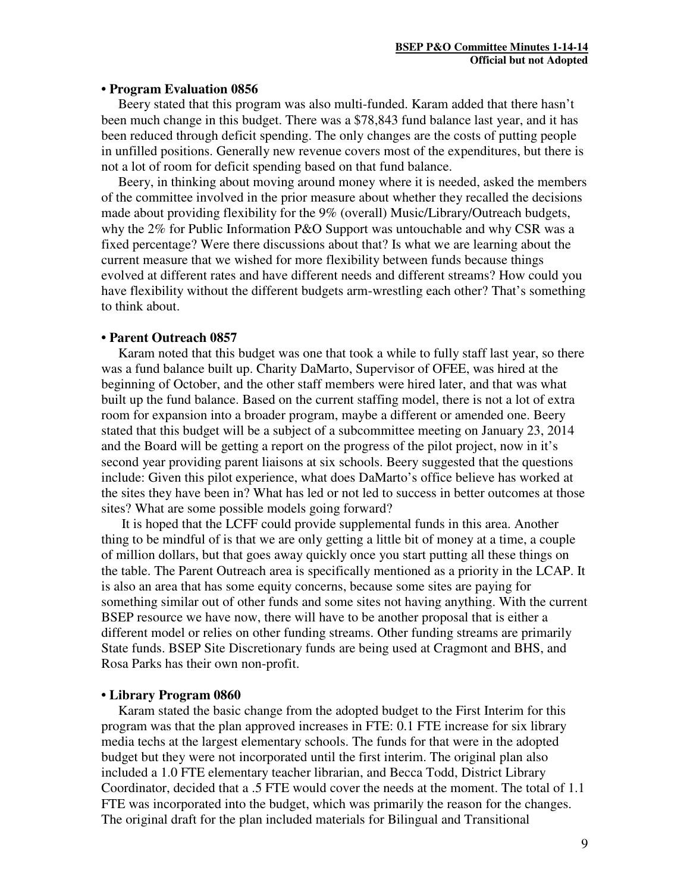#### **• Program Evaluation 0856**

 Beery stated that this program was also multi-funded. Karam added that there hasn't been much change in this budget. There was a \$78,843 fund balance last year, and it has been reduced through deficit spending. The only changes are the costs of putting people in unfilled positions. Generally new revenue covers most of the expenditures, but there is not a lot of room for deficit spending based on that fund balance.

 Beery, in thinking about moving around money where it is needed, asked the members of the committee involved in the prior measure about whether they recalled the decisions made about providing flexibility for the 9% (overall) Music/Library/Outreach budgets, why the 2% for Public Information P&O Support was untouchable and why CSR was a fixed percentage? Were there discussions about that? Is what we are learning about the current measure that we wished for more flexibility between funds because things evolved at different rates and have different needs and different streams? How could you have flexibility without the different budgets arm-wrestling each other? That's something to think about.

#### **• Parent Outreach 0857**

 Karam noted that this budget was one that took a while to fully staff last year, so there was a fund balance built up. Charity DaMarto, Supervisor of OFEE, was hired at the beginning of October, and the other staff members were hired later, and that was what built up the fund balance. Based on the current staffing model, there is not a lot of extra room for expansion into a broader program, maybe a different or amended one. Beery stated that this budget will be a subject of a subcommittee meeting on January 23, 2014 and the Board will be getting a report on the progress of the pilot project, now in it's second year providing parent liaisons at six schools. Beery suggested that the questions include: Given this pilot experience, what does DaMarto's office believe has worked at the sites they have been in? What has led or not led to success in better outcomes at those sites? What are some possible models going forward?

It is hoped that the LCFF could provide supplemental funds in this area. Another thing to be mindful of is that we are only getting a little bit of money at a time, a couple of million dollars, but that goes away quickly once you start putting all these things on the table. The Parent Outreach area is specifically mentioned as a priority in the LCAP. It is also an area that has some equity concerns, because some sites are paying for something similar out of other funds and some sites not having anything. With the current BSEP resource we have now, there will have to be another proposal that is either a different model or relies on other funding streams. Other funding streams are primarily State funds. BSEP Site Discretionary funds are being used at Cragmont and BHS, and Rosa Parks has their own non-profit.

### **• Library Program 0860**

Karam stated the basic change from the adopted budget to the First Interim for this program was that the plan approved increases in FTE: 0.1 FTE increase for six library media techs at the largest elementary schools. The funds for that were in the adopted budget but they were not incorporated until the first interim. The original plan also included a 1.0 FTE elementary teacher librarian, and Becca Todd, District Library Coordinator, decided that a .5 FTE would cover the needs at the moment. The total of 1.1 FTE was incorporated into the budget, which was primarily the reason for the changes. The original draft for the plan included materials for Bilingual and Transitional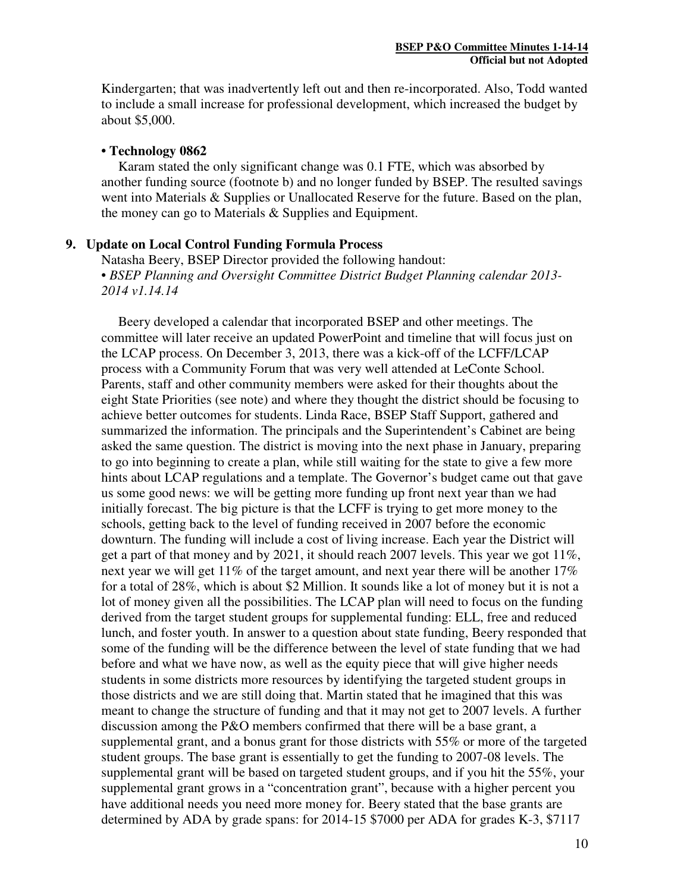Kindergarten; that was inadvertently left out and then re-incorporated. Also, Todd wanted to include a small increase for professional development, which increased the budget by about \$5,000.

#### **• Technology 0862**

Karam stated the only significant change was 0.1 FTE, which was absorbed by another funding source (footnote b) and no longer funded by BSEP. The resulted savings went into Materials & Supplies or Unallocated Reserve for the future. Based on the plan, the money can go to Materials & Supplies and Equipment.

### **9. Update on Local Control Funding Formula Process**

Natasha Beery, BSEP Director provided the following handout: • *BSEP Planning and Oversight Committee District Budget Planning calendar 2013- 2014 v1.14.14*

 Beery developed a calendar that incorporated BSEP and other meetings. The committee will later receive an updated PowerPoint and timeline that will focus just on the LCAP process. On December 3, 2013, there was a kick-off of the LCFF/LCAP process with a Community Forum that was very well attended at LeConte School. Parents, staff and other community members were asked for their thoughts about the eight State Priorities (see note) and where they thought the district should be focusing to achieve better outcomes for students. Linda Race, BSEP Staff Support, gathered and summarized the information. The principals and the Superintendent's Cabinet are being asked the same question. The district is moving into the next phase in January, preparing to go into beginning to create a plan, while still waiting for the state to give a few more hints about LCAP regulations and a template. The Governor's budget came out that gave us some good news: we will be getting more funding up front next year than we had initially forecast. The big picture is that the LCFF is trying to get more money to the schools, getting back to the level of funding received in 2007 before the economic downturn. The funding will include a cost of living increase. Each year the District will get a part of that money and by 2021, it should reach 2007 levels. This year we got  $11\%$ , next year we will get  $11\%$  of the target amount, and next year there will be another  $17\%$ for a total of 28%, which is about \$2 Million. It sounds like a lot of money but it is not a lot of money given all the possibilities. The LCAP plan will need to focus on the funding derived from the target student groups for supplemental funding: ELL, free and reduced lunch, and foster youth. In answer to a question about state funding, Beery responded that some of the funding will be the difference between the level of state funding that we had before and what we have now, as well as the equity piece that will give higher needs students in some districts more resources by identifying the targeted student groups in those districts and we are still doing that. Martin stated that he imagined that this was meant to change the structure of funding and that it may not get to 2007 levels. A further discussion among the P&O members confirmed that there will be a base grant, a supplemental grant, and a bonus grant for those districts with 55% or more of the targeted student groups. The base grant is essentially to get the funding to 2007-08 levels. The supplemental grant will be based on targeted student groups, and if you hit the 55%, your supplemental grant grows in a "concentration grant", because with a higher percent you have additional needs you need more money for. Beery stated that the base grants are determined by ADA by grade spans: for 2014-15 \$7000 per ADA for grades K-3, \$7117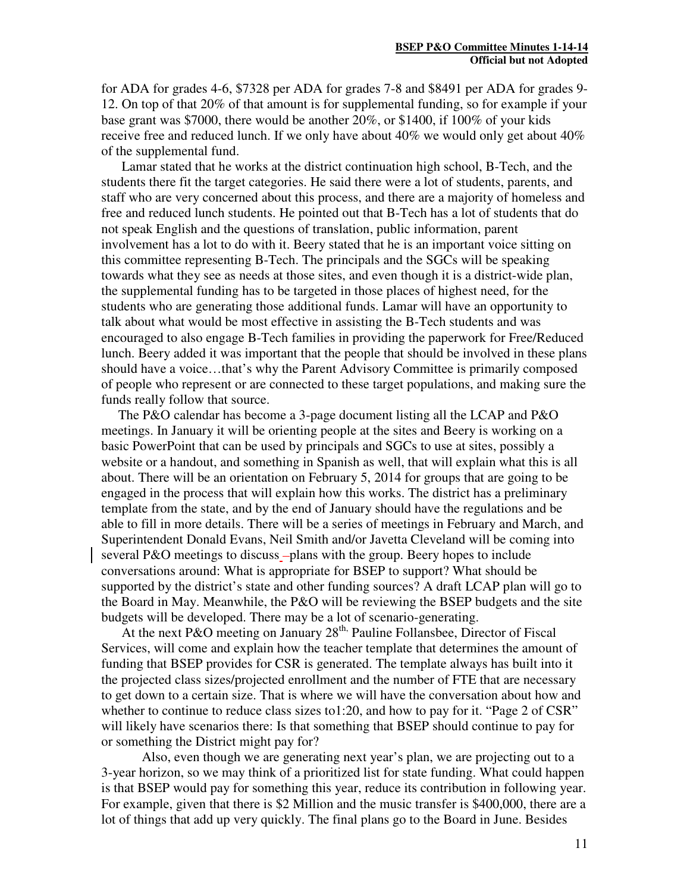for ADA for grades 4-6, \$7328 per ADA for grades 7-8 and \$8491 per ADA for grades 9- 12. On top of that 20% of that amount is for supplemental funding, so for example if your base grant was \$7000, there would be another 20%, or \$1400, if 100% of your kids receive free and reduced lunch. If we only have about  $40\%$  we would only get about  $40\%$ of the supplemental fund.

Lamar stated that he works at the district continuation high school, B-Tech, and the students there fit the target categories. He said there were a lot of students, parents, and staff who are very concerned about this process, and there are a majority of homeless and free and reduced lunch students. He pointed out that B-Tech has a lot of students that do not speak English and the questions of translation, public information, parent involvement has a lot to do with it. Beery stated that he is an important voice sitting on this committee representing B-Tech. The principals and the SGCs will be speaking towards what they see as needs at those sites, and even though it is a district-wide plan, the supplemental funding has to be targeted in those places of highest need, for the students who are generating those additional funds. Lamar will have an opportunity to talk about what would be most effective in assisting the B-Tech students and was encouraged to also engage B-Tech families in providing the paperwork for Free/Reduced lunch. Beery added it was important that the people that should be involved in these plans should have a voice…that's why the Parent Advisory Committee is primarily composed of people who represent or are connected to these target populations, and making sure the funds really follow that source.

 The P&O calendar has become a 3-page document listing all the LCAP and P&O meetings. In January it will be orienting people at the sites and Beery is working on a basic PowerPoint that can be used by principals and SGCs to use at sites, possibly a website or a handout, and something in Spanish as well, that will explain what this is all about. There will be an orientation on February 5, 2014 for groups that are going to be engaged in the process that will explain how this works. The district has a preliminary template from the state, and by the end of January should have the regulations and be able to fill in more details. There will be a series of meetings in February and March, and Superintendent Donald Evans, Neil Smith and/or Javetta Cleveland will be coming into several P&O meetings to discuss -plans with the group. Beery hopes to include conversations around: What is appropriate for BSEP to support? What should be supported by the district's state and other funding sources? A draft LCAP plan will go to the Board in May. Meanwhile, the P&O will be reviewing the BSEP budgets and the site budgets will be developed. There may be a lot of scenario-generating.

At the next P&O meeting on January  $28<sup>th</sup>$ . Pauline Follansbee, Director of Fiscal Services, will come and explain how the teacher template that determines the amount of funding that BSEP provides for CSR is generated. The template always has built into it the projected class sizes/projected enrollment and the number of FTE that are necessary to get down to a certain size. That is where we will have the conversation about how and whether to continue to reduce class sizes to 1:20, and how to pay for it. "Page 2 of CSR" will likely have scenarios there: Is that something that BSEP should continue to pay for or something the District might pay for?

Also, even though we are generating next year's plan, we are projecting out to a 3-year horizon, so we may think of a prioritized list for state funding. What could happen is that BSEP would pay for something this year, reduce its contribution in following year. For example, given that there is \$2 Million and the music transfer is \$400,000, there are a lot of things that add up very quickly. The final plans go to the Board in June. Besides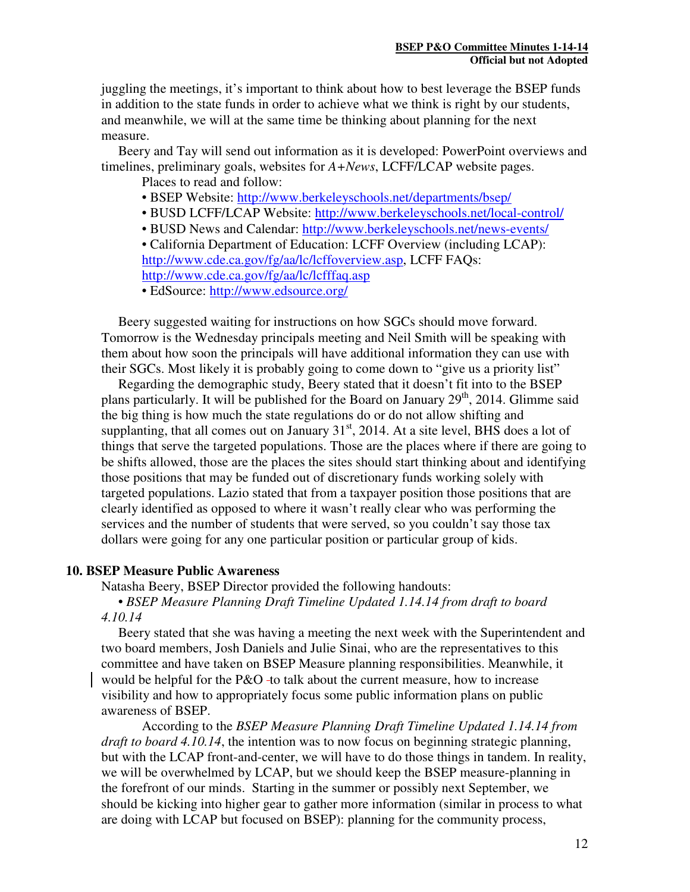juggling the meetings, it's important to think about how to best leverage the BSEP funds in addition to the state funds in order to achieve what we think is right by our students, and meanwhile, we will at the same time be thinking about planning for the next measure.

 Beery and Tay will send out information as it is developed: PowerPoint overviews and timelines, preliminary goals, websites for *A+News*, LCFF/LCAP website pages.

Places to read and follow:

- BSEP Website: http://www.berkeleyschools.net/departments/bsep/
- BUSD LCFF/LCAP Website: http://www.berkeleyschools.net/local-control/
- BUSD News and Calendar: http://www.berkeleyschools.net/news-events/

• California Department of Education: LCFF Overview (including LCAP): http://www.cde.ca.gov/fg/aa/lc/lcffoverview.asp, LCFF FAQs: http://www.cde.ca.gov/fg/aa/lc/lcfffaq.asp

• EdSource: http://www.edsource.org/

Beery suggested waiting for instructions on how SGCs should move forward. Tomorrow is the Wednesday principals meeting and Neil Smith will be speaking with them about how soon the principals will have additional information they can use with their SGCs. Most likely it is probably going to come down to "give us a priority list"

 Regarding the demographic study, Beery stated that it doesn't fit into to the BSEP plans particularly. It will be published for the Board on January  $29<sup>th</sup>$ , 2014. Glimme said the big thing is how much the state regulations do or do not allow shifting and supplanting, that all comes out on January  $31<sup>st</sup>$ , 2014. At a site level, BHS does a lot of things that serve the targeted populations. Those are the places where if there are going to be shifts allowed, those are the places the sites should start thinking about and identifying those positions that may be funded out of discretionary funds working solely with targeted populations. Lazio stated that from a taxpayer position those positions that are clearly identified as opposed to where it wasn't really clear who was performing the services and the number of students that were served, so you couldn't say those tax dollars were going for any one particular position or particular group of kids.

### **10. BSEP Measure Public Awareness**

Natasha Beery, BSEP Director provided the following handouts:

### • *BSEP Measure Planning Draft Timeline Updated 1.14.14 from draft to board 4.10.14*

 Beery stated that she was having a meeting the next week with the Superintendent and two board members, Josh Daniels and Julie Sinai, who are the representatives to this committee and have taken on BSEP Measure planning responsibilities. Meanwhile, it would be helpful for the P&O -to talk about the current measure, how to increase visibility and how to appropriately focus some public information plans on public awareness of BSEP.

According to the *BSEP Measure Planning Draft Timeline Updated 1.14.14 from draft to board 4.10.14*, the intention was to now focus on beginning strategic planning, but with the LCAP front-and-center, we will have to do those things in tandem. In reality, we will be overwhelmed by LCAP, but we should keep the BSEP measure-planning in the forefront of our minds. Starting in the summer or possibly next September, we should be kicking into higher gear to gather more information (similar in process to what are doing with LCAP but focused on BSEP): planning for the community process,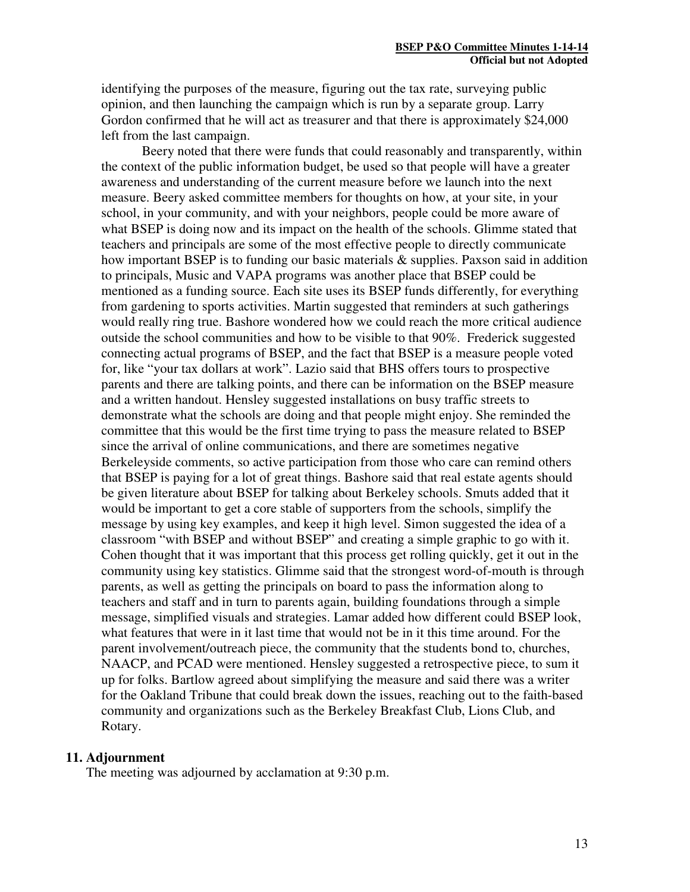identifying the purposes of the measure, figuring out the tax rate, surveying public opinion, and then launching the campaign which is run by a separate group. Larry Gordon confirmed that he will act as treasurer and that there is approximately \$24,000 left from the last campaign.

Beery noted that there were funds that could reasonably and transparently, within the context of the public information budget, be used so that people will have a greater awareness and understanding of the current measure before we launch into the next measure. Beery asked committee members for thoughts on how, at your site, in your school, in your community, and with your neighbors, people could be more aware of what BSEP is doing now and its impact on the health of the schools. Glimme stated that teachers and principals are some of the most effective people to directly communicate how important BSEP is to funding our basic materials & supplies. Paxson said in addition to principals, Music and VAPA programs was another place that BSEP could be mentioned as a funding source. Each site uses its BSEP funds differently, for everything from gardening to sports activities. Martin suggested that reminders at such gatherings would really ring true. Bashore wondered how we could reach the more critical audience outside the school communities and how to be visible to that 90%. Frederick suggested connecting actual programs of BSEP, and the fact that BSEP is a measure people voted for, like "your tax dollars at work". Lazio said that BHS offers tours to prospective parents and there are talking points, and there can be information on the BSEP measure and a written handout. Hensley suggested installations on busy traffic streets to demonstrate what the schools are doing and that people might enjoy. She reminded the committee that this would be the first time trying to pass the measure related to BSEP since the arrival of online communications, and there are sometimes negative Berkeleyside comments, so active participation from those who care can remind others that BSEP is paying for a lot of great things. Bashore said that real estate agents should be given literature about BSEP for talking about Berkeley schools. Smuts added that it would be important to get a core stable of supporters from the schools, simplify the message by using key examples, and keep it high level. Simon suggested the idea of a classroom "with BSEP and without BSEP" and creating a simple graphic to go with it. Cohen thought that it was important that this process get rolling quickly, get it out in the community using key statistics. Glimme said that the strongest word-of-mouth is through parents, as well as getting the principals on board to pass the information along to teachers and staff and in turn to parents again, building foundations through a simple message, simplified visuals and strategies. Lamar added how different could BSEP look, what features that were in it last time that would not be in it this time around. For the parent involvement/outreach piece, the community that the students bond to, churches, NAACP, and PCAD were mentioned. Hensley suggested a retrospective piece, to sum it up for folks. Bartlow agreed about simplifying the measure and said there was a writer for the Oakland Tribune that could break down the issues, reaching out to the faith-based community and organizations such as the Berkeley Breakfast Club, Lions Club, and Rotary.

### **11. Adjournment**

The meeting was adjourned by acclamation at 9:30 p.m.